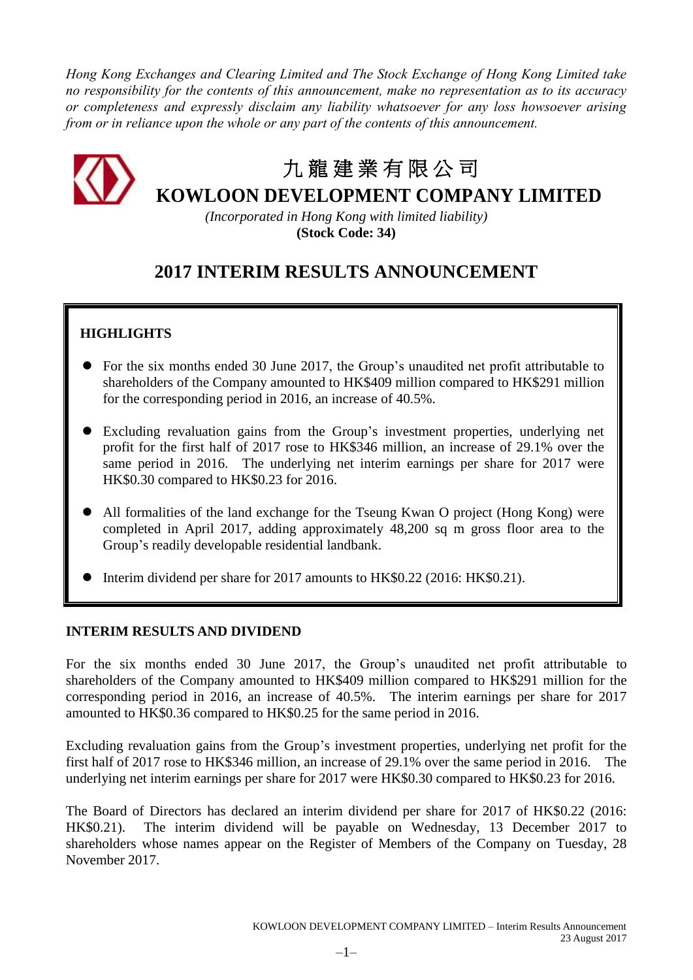*Hong Kong Exchanges and Clearing Limited and The Stock Exchange of Hong Kong Limited take no responsibility for the contents of this announcement, make no representation as to its accuracy or completeness and expressly disclaim any liability whatsoever for any loss howsoever arising from or in reliance upon the whole or any part of the contents of this announcement.*



# 九 龍 建 業 有 限 公 司

**KOWLOON DEVELOPMENT COMPANY LIMITED**

*(Incorporated in Hong Kong with limited liability)* **(Stock Code: 34)**

## **2017 INTERIM RESULTS ANNOUNCEMENT**

## **HIGHLIGHTS**

- For the six months ended 30 June 2017, the Group's unaudited net profit attributable to shareholders of the Company amounted to HK\$409 million compared to HK\$291 million for the corresponding period in 2016, an increase of 40.5%.
- Excluding revaluation gains from the Group's investment properties, underlying net profit for the first half of 2017 rose to HK\$346 million, an increase of 29.1% over the same period in 2016. The underlying net interim earnings per share for 2017 were HK\$0.30 compared to HK\$0.23 for 2016.
- All formalities of the land exchange for the Tseung Kwan O project (Hong Kong) were completed in April 2017, adding approximately 48,200 sq m gross floor area to the Group's readily developable residential landbank.
- Interim dividend per share for 2017 amounts to HK\$0.22 (2016: HK\$0.21).

### **INTERIM RESULTS AND DIVIDEND**

For the six months ended 30 June 2017, the Group's unaudited net profit attributable to shareholders of the Company amounted to HK\$409 million compared to HK\$291 million for the corresponding period in 2016, an increase of 40.5%. The interim earnings per share for 2017 amounted to HK\$0.36 compared to HK\$0.25 for the same period in 2016.

Excluding revaluation gains from the Group's investment properties, underlying net profit for the first half of 2017 rose to HK\$346 million, an increase of 29.1% over the same period in 2016. The underlying net interim earnings per share for 2017 were HK\$0.30 compared to HK\$0.23 for 2016.

The Board of Directors has declared an interim dividend per share for 2017 of HK\$0.22 (2016: HK\$0.21). The interim dividend will be payable on Wednesday, 13 December 2017 to shareholders whose names appear on the Register of Members of the Company on Tuesday, 28 November 2017.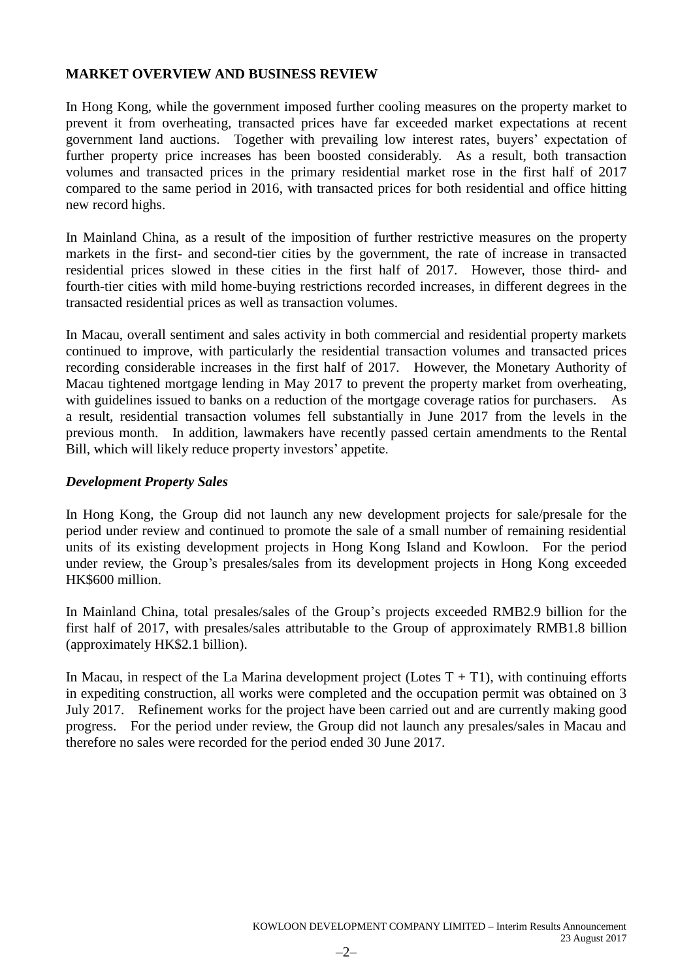### **MARKET OVERVIEW AND BUSINESS REVIEW**

In Hong Kong, while the government imposed further cooling measures on the property market to prevent it from overheating, transacted prices have far exceeded market expectations at recent government land auctions. Together with prevailing low interest rates, buyers' expectation of further property price increases has been boosted considerably. As a result, both transaction volumes and transacted prices in the primary residential market rose in the first half of 2017 compared to the same period in 2016, with transacted prices for both residential and office hitting new record highs.

In Mainland China, as a result of the imposition of further restrictive measures on the property markets in the first- and second-tier cities by the government, the rate of increase in transacted residential prices slowed in these cities in the first half of 2017. However, those third- and fourth-tier cities with mild home-buying restrictions recorded increases, in different degrees in the transacted residential prices as well as transaction volumes.

In Macau, overall sentiment and sales activity in both commercial and residential property markets continued to improve, with particularly the residential transaction volumes and transacted prices recording considerable increases in the first half of 2017. However, the Monetary Authority of Macau tightened mortgage lending in May 2017 to prevent the property market from overheating, with guidelines issued to banks on a reduction of the mortgage coverage ratios for purchasers. As a result, residential transaction volumes fell substantially in June 2017 from the levels in the previous month. In addition, lawmakers have recently passed certain amendments to the Rental Bill, which will likely reduce property investors' appetite.

### *Development Property Sales*

In Hong Kong, the Group did not launch any new development projects for sale/presale for the period under review and continued to promote the sale of a small number of remaining residential units of its existing development projects in Hong Kong Island and Kowloon. For the period under review, the Group's presales/sales from its development projects in Hong Kong exceeded HK\$600 million.

In Mainland China, total presales/sales of the Group's projects exceeded RMB2.9 billion for the first half of 2017, with presales/sales attributable to the Group of approximately RMB1.8 billion (approximately HK\$2.1 billion).

In Macau, in respect of the La Marina development project (Lotes  $T + T1$ ), with continuing efforts in expediting construction, all works were completed and the occupation permit was obtained on 3 July 2017. Refinement works for the project have been carried out and are currently making good progress. For the period under review, the Group did not launch any presales/sales in Macau and therefore no sales were recorded for the period ended 30 June 2017.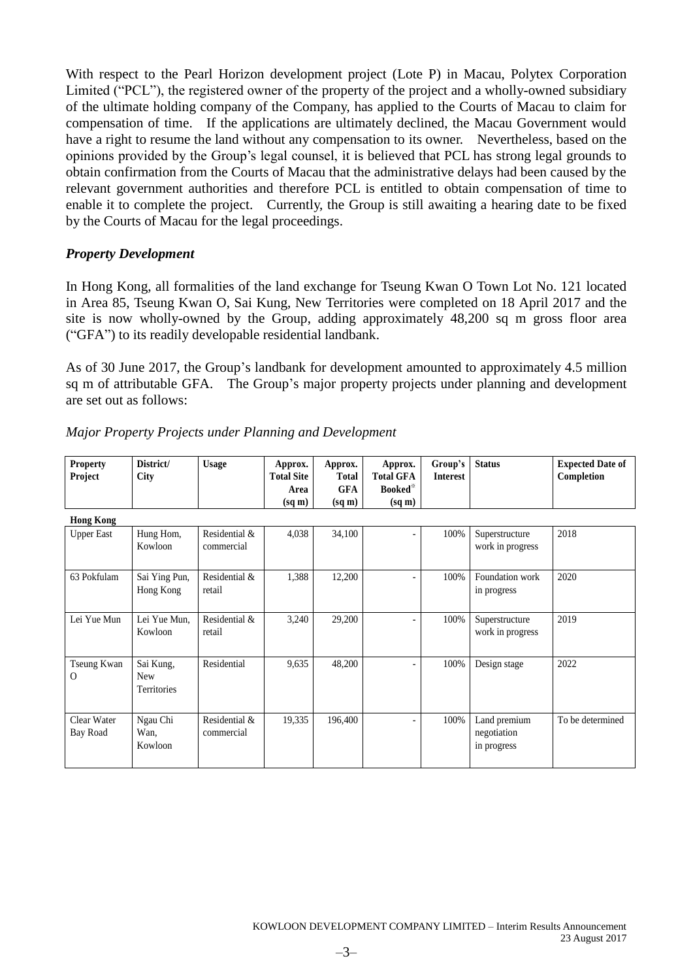With respect to the Pearl Horizon development project (Lote P) in Macau, Polytex Corporation Limited ("PCL"), the registered owner of the property of the project and a wholly-owned subsidiary of the ultimate holding company of the Company, has applied to the Courts of Macau to claim for compensation of time. If the applications are ultimately declined, the Macau Government would have a right to resume the land without any compensation to its owner. Nevertheless, based on the opinions provided by the Group's legal counsel, it is believed that PCL has strong legal grounds to obtain confirmation from the Courts of Macau that the administrative delays had been caused by the relevant government authorities and therefore PCL is entitled to obtain compensation of time to enable it to complete the project. Currently, the Group is still awaiting a hearing date to be fixed by the Courts of Macau for the legal proceedings.

### *Property Development*

In Hong Kong, all formalities of the land exchange for Tseung Kwan O Town Lot No. 121 located in Area 85, Tseung Kwan O, Sai Kung, New Territories were completed on 18 April 2017 and the site is now wholly-owned by the Group, adding approximately 48,200 sq m gross floor area ("GFA") to its readily developable residential landbank.

As of 30 June 2017, the Group's landbank for development amounted to approximately 4.5 million sq m of attributable GFA. The Group's major property projects under planning and development are set out as follows:

| <b>Property</b><br>Project | District/<br>City         | <b>Usage</b>  | Approx.<br><b>Total Site</b> | Approx.<br>Total   | Approx.<br><b>Total GFA</b> | Group's<br><b>Interest</b> | <b>Status</b>    | <b>Expected Date of</b><br>Completion |
|----------------------------|---------------------------|---------------|------------------------------|--------------------|-----------------------------|----------------------------|------------------|---------------------------------------|
|                            |                           |               | Area                         | <b>GFA</b>         | Booked <sup>*</sup>         |                            |                  |                                       |
|                            |                           |               | $(sq \, \text{m})$           | $(sq \, \text{m})$ | $(sq \, \text{m})$          |                            |                  |                                       |
| <b>Hong Kong</b>           |                           |               |                              |                    |                             |                            |                  |                                       |
| <b>Upper East</b>          | Hung Hom,                 | Residential & | 4,038                        | 34,100             |                             | 100%                       | Superstructure   | 2018                                  |
|                            | Kowloon                   | commercial    |                              |                    |                             |                            | work in progress |                                       |
|                            |                           |               |                              |                    |                             |                            |                  |                                       |
| 63 Pokfulam                | Sai Ying Pun,             | Residential & | 1,388                        | 12,200             |                             | 100%                       | Foundation work  | 2020                                  |
|                            | Hong Kong                 | retail        |                              |                    |                             |                            | in progress      |                                       |
|                            |                           |               |                              |                    |                             |                            |                  |                                       |
| Lei Yue Mun                | Lei Yue Mun,              | Residential & | 3,240                        | 29,200             |                             | 100%                       | Superstructure   | 2019                                  |
|                            | Kowloon                   | retail        |                              |                    |                             |                            | work in progress |                                       |
|                            |                           |               |                              |                    |                             |                            |                  |                                       |
| Tseung Kwan                | Sai Kung,                 | Residential   | 9,635                        | 48,200             |                             | 100%                       | Design stage     | 2022                                  |
| $\Omega$                   | <b>New</b><br>Territories |               |                              |                    |                             |                            |                  |                                       |
|                            |                           |               |                              |                    |                             |                            |                  |                                       |
| Clear Water                | Ngau Chi                  | Residential & | 19,335                       | 196,400            |                             | 100%                       | Land premium     | To be determined                      |
| Bay Road                   | Wan.                      | commercial    |                              |                    |                             |                            | negotiation      |                                       |
|                            | Kowloon                   |               |                              |                    |                             |                            | in progress      |                                       |
|                            |                           |               |                              |                    |                             |                            |                  |                                       |

### *Major Property Projects under Planning and Development*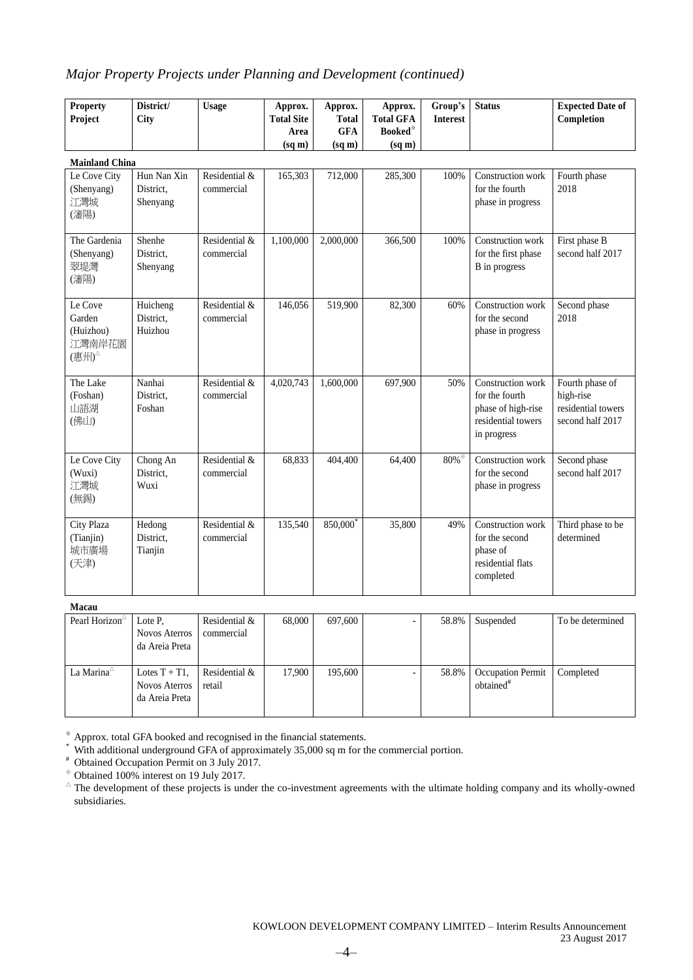### *Major Property Projects under Planning and Development (continued)*

| <b>Property</b>                                  | District/                            | <b>Usage</b>                | Approx.            | Approx.            | Approx.            | Group's                               | <b>Status</b>                                                                                  | <b>Expected Date of</b>                                                |
|--------------------------------------------------|--------------------------------------|-----------------------------|--------------------|--------------------|--------------------|---------------------------------------|------------------------------------------------------------------------------------------------|------------------------------------------------------------------------|
| Project                                          | City                                 |                             | <b>Total Site</b>  | <b>Total</b>       | <b>Total GFA</b>   | <b>Interest</b>                       |                                                                                                | Completion                                                             |
|                                                  |                                      |                             | Area               | <b>GFA</b>         | <b>Booked</b> *    |                                       |                                                                                                |                                                                        |
|                                                  |                                      |                             | $(sq \, \text{m})$ | $(sq \, \text{m})$ | $(sq \, \text{m})$ |                                       |                                                                                                |                                                                        |
| <b>Mainland China</b>                            |                                      |                             |                    |                    |                    |                                       |                                                                                                |                                                                        |
| Le Cove City<br>(Shenyang)<br>江灣城<br>(瀋陽)        | Hun Nan Xin<br>District.<br>Shenyang | Residential &<br>commercial | 165,303            | 712,000            | 285,300            | 100%                                  | Construction work<br>for the fourth<br>phase in progress                                       | Fourth phase<br>2018                                                   |
| The Gardenia<br>(Shenyang)<br>翠堤灣<br>(瀋陽)        | Shenhe<br>District.<br>Shenyang      | Residential &<br>commercial | 1,100,000          | 2,000,000          | 366,500            | 100%                                  | Construction work<br>for the first phase<br>B in progress                                      | First phase B<br>second half 2017                                      |
| Le Cove<br>Garden<br>(Huizhou)<br>江灣南岸花園<br>(惠州) | Huicheng<br>District.<br>Huizhou     | Residential &<br>commercial | 146,056            | 519,900            | 82,300             | 60%                                   | Construction work<br>for the second<br>phase in progress                                       | Second phase<br>2018                                                   |
| The Lake<br>(Foshan)<br>山語湖<br>(佛山)              | Nanhai<br>District.<br>Foshan        | Residential &<br>commercial | 4,020,743          | 1.600.000          | 697,900            | 50%                                   | Construction work<br>for the fourth<br>phase of high-rise<br>residential towers<br>in progress | Fourth phase of<br>high-rise<br>residential towers<br>second half 2017 |
| Le Cove City<br>(Wuxi)<br>江灣城<br>(無錫)            | Chong An<br>District,<br>Wuxi        | Residential &<br>commercial | 68,833             | 404,400            | 64,400             | $80\%$ <sup><math>\oplus</math></sup> | Construction work<br>for the second<br>phase in progress                                       | Second phase<br>second half 2017                                       |
| City Plaza<br>(Tianjin)<br>城市廣場<br>(天津)          | Hedong<br>District.<br>Tianjin       | Residential &<br>commercial | 135,540            | 850,000            | 35,800             | 49%                                   | Construction work<br>for the second<br>phase of<br>residential flats<br>completed              | Third phase to be<br>determined                                        |

**Macau**

| --------                  |                                                            |                             |        |         |       |                                                   |                  |
|---------------------------|------------------------------------------------------------|-----------------------------|--------|---------|-------|---------------------------------------------------|------------------|
| Pearl Horizon $\triangle$ | Lote P.<br><b>Novos Aterros</b>                            | Residential &<br>commercial | 68,000 | 697,600 | 58.8% | Suspended                                         | To be determined |
|                           | da Areia Preta                                             |                             |        |         |       |                                                   |                  |
| La Marina $\triangle$     | Lotes $T + T1$ ,<br><b>Novos Aterros</b><br>da Areia Preta | Residential &<br>retail     | 17.900 | 195,600 | 58.8% | <b>Occupation Permit</b><br>obtained <sup>#</sup> | Completed        |

※ Approx. total GFA booked and recognised in the financial statements.

\* With additional underground GFA of approximately 35,000 sq m for the commercial portion.

<sup>#</sup> Obtained Occupation Permit on 3 July 2017.

<sup>⊕</sup> Obtained 100% interest on 19 July 2017.

 $^{\triangle}$  The development of these projects is under the co-investment agreements with the ultimate holding company and its wholly-owned subsidiaries.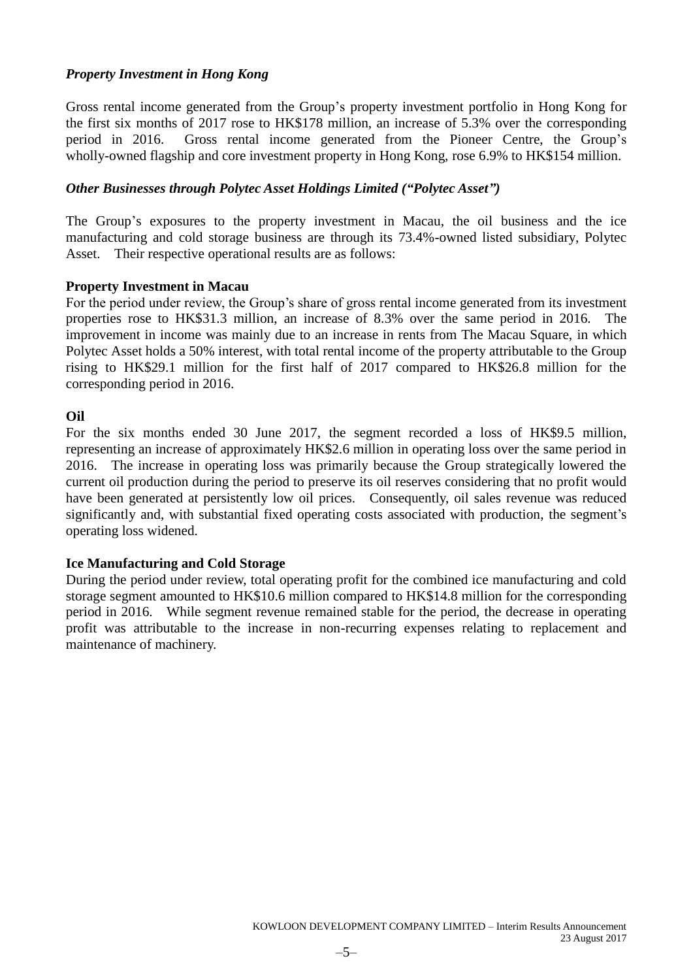### *Property Investment in Hong Kong*

Gross rental income generated from the Group's property investment portfolio in Hong Kong for the first six months of 2017 rose to HK\$178 million, an increase of 5.3% over the corresponding period in 2016. Gross rental income generated from the Pioneer Centre, the Group's wholly-owned flagship and core investment property in Hong Kong, rose 6.9% to HK\$154 million.

### *Other Businesses through Polytec Asset Holdings Limited ("Polytec Asset")*

The Group's exposures to the property investment in Macau, the oil business and the ice manufacturing and cold storage business are through its 73.4%-owned listed subsidiary, Polytec Asset. Their respective operational results are as follows:

### **Property Investment in Macau**

For the period under review, the Group's share of gross rental income generated from its investment properties rose to HK\$31.3 million, an increase of 8.3% over the same period in 2016. The improvement in income was mainly due to an increase in rents from The Macau Square, in which Polytec Asset holds a 50% interest, with total rental income of the property attributable to the Group rising to HK\$29.1 million for the first half of 2017 compared to HK\$26.8 million for the corresponding period in 2016.

### **Oil**

For the six months ended 30 June 2017, the segment recorded a loss of HK\$9.5 million, representing an increase of approximately HK\$2.6 million in operating loss over the same period in 2016. The increase in operating loss was primarily because the Group strategically lowered the current oil production during the period to preserve its oil reserves considering that no profit would have been generated at persistently low oil prices. Consequently, oil sales revenue was reduced significantly and, with substantial fixed operating costs associated with production, the segment's operating loss widened.

### **Ice Manufacturing and Cold Storage**

During the period under review, total operating profit for the combined ice manufacturing and cold storage segment amounted to HK\$10.6 million compared to HK\$14.8 million for the corresponding period in 2016. While segment revenue remained stable for the period, the decrease in operating profit was attributable to the increase in non-recurring expenses relating to replacement and maintenance of machinery.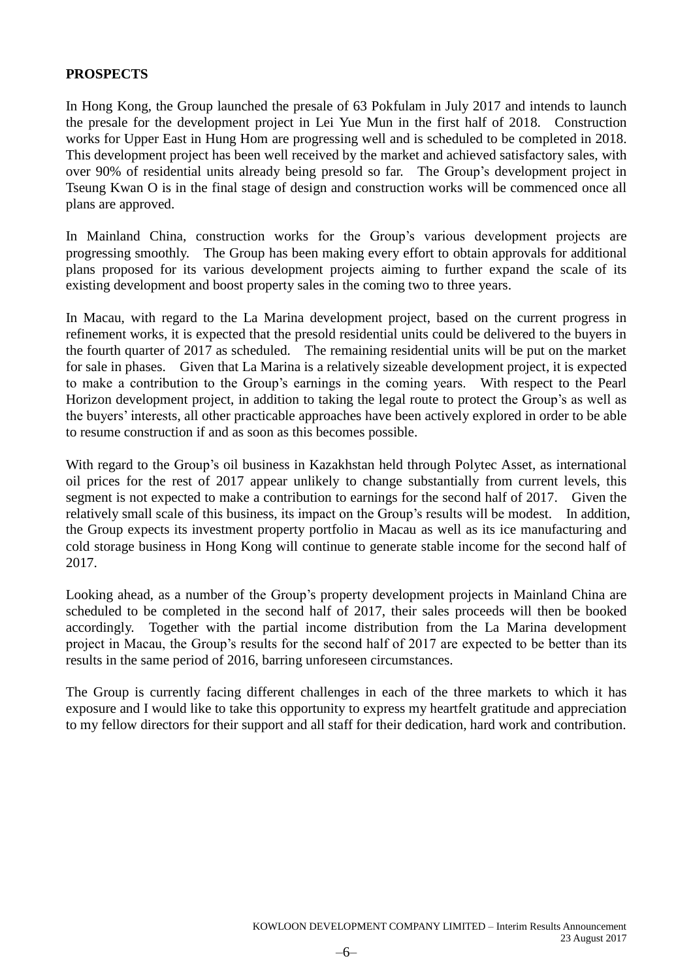### **PROSPECTS**

In Hong Kong, the Group launched the presale of 63 Pokfulam in July 2017 and intends to launch the presale for the development project in Lei Yue Mun in the first half of 2018. Construction works for Upper East in Hung Hom are progressing well and is scheduled to be completed in 2018. This development project has been well received by the market and achieved satisfactory sales, with over 90% of residential units already being presold so far. The Group's development project in Tseung Kwan O is in the final stage of design and construction works will be commenced once all plans are approved.

In Mainland China, construction works for the Group's various development projects are progressing smoothly. The Group has been making every effort to obtain approvals for additional plans proposed for its various development projects aiming to further expand the scale of its existing development and boost property sales in the coming two to three years.

In Macau, with regard to the La Marina development project, based on the current progress in refinement works, it is expected that the presold residential units could be delivered to the buyers in the fourth quarter of 2017 as scheduled. The remaining residential units will be put on the market for sale in phases. Given that La Marina is a relatively sizeable development project, it is expected to make a contribution to the Group's earnings in the coming years. With respect to the Pearl Horizon development project, in addition to taking the legal route to protect the Group's as well as the buyers' interests, all other practicable approaches have been actively explored in order to be able to resume construction if and as soon as this becomes possible.

With regard to the Group's oil business in Kazakhstan held through Polytec Asset, as international oil prices for the rest of 2017 appear unlikely to change substantially from current levels, this segment is not expected to make a contribution to earnings for the second half of 2017. Given the relatively small scale of this business, its impact on the Group's results will be modest. In addition, the Group expects its investment property portfolio in Macau as well as its ice manufacturing and cold storage business in Hong Kong will continue to generate stable income for the second half of 2017.

Looking ahead, as a number of the Group's property development projects in Mainland China are scheduled to be completed in the second half of 2017, their sales proceeds will then be booked accordingly. Together with the partial income distribution from the La Marina development project in Macau, the Group's results for the second half of 2017 are expected to be better than its results in the same period of 2016, barring unforeseen circumstances.

The Group is currently facing different challenges in each of the three markets to which it has exposure and I would like to take this opportunity to express my heartfelt gratitude and appreciation to my fellow directors for their support and all staff for their dedication, hard work and contribution.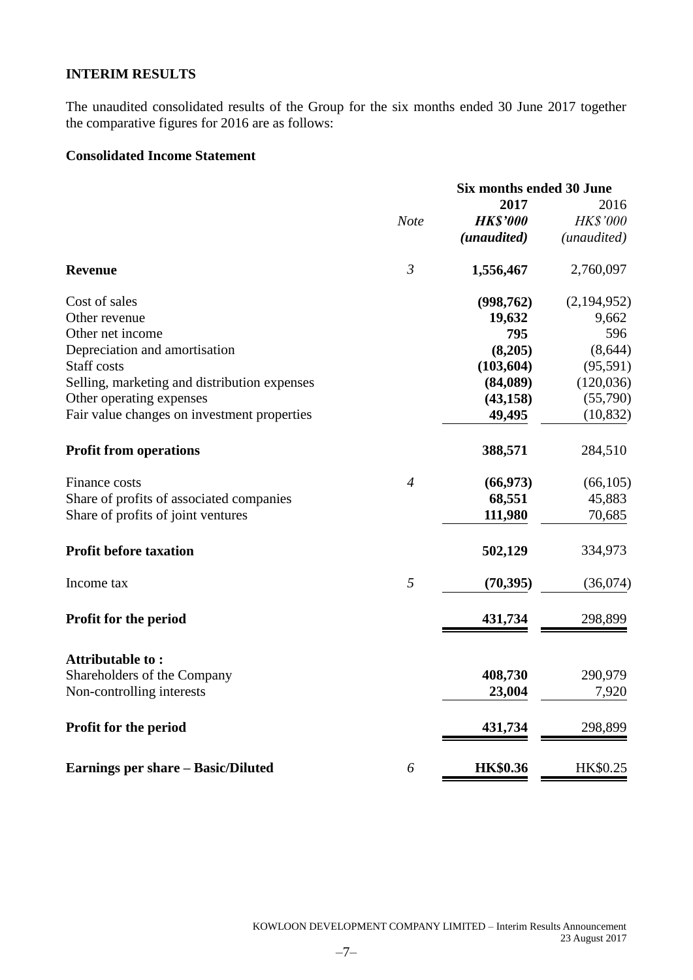### **INTERIM RESULTS**

The unaudited consolidated results of the Group for the six months ended 30 June 2017 together the comparative figures for 2016 are as follows:

### **Consolidated Income Statement**

|                                              |                | Six months ended 30 June |                 |  |
|----------------------------------------------|----------------|--------------------------|-----------------|--|
|                                              |                | 2017                     | 2016            |  |
|                                              | <b>Note</b>    | <b>HK\$'000</b>          | <b>HK\$'000</b> |  |
|                                              |                | (unaudited)              | (unaudited)     |  |
| <b>Revenue</b>                               | $\mathfrak{Z}$ | 1,556,467                | 2,760,097       |  |
| Cost of sales                                |                | (998, 762)               | (2,194,952)     |  |
| Other revenue                                |                | 19,632                   | 9,662           |  |
| Other net income                             |                | 795                      | 596             |  |
| Depreciation and amortisation                |                | (8,205)                  | (8, 644)        |  |
| Staff costs                                  |                | (103, 604)               | (95, 591)       |  |
| Selling, marketing and distribution expenses |                | (84,089)                 | (120, 036)      |  |
| Other operating expenses                     |                | (43, 158)                | (55,790)        |  |
| Fair value changes on investment properties  |                | 49,495                   | (10, 832)       |  |
| <b>Profit from operations</b>                |                | 388,571                  | 284,510         |  |
| Finance costs                                | $\overline{4}$ | (66, 973)                | (66, 105)       |  |
| Share of profits of associated companies     |                | 68,551                   | 45,883          |  |
| Share of profits of joint ventures           |                | 111,980                  | 70,685          |  |
| <b>Profit before taxation</b>                |                | 502,129                  | 334,973         |  |
| Income tax                                   | $\mathfrak{H}$ | (70, 395)                | (36,074)        |  |
| <b>Profit for the period</b>                 |                | 431,734                  | 298,899         |  |
| Attributable to:                             |                |                          |                 |  |
| Shareholders of the Company                  |                | 408,730                  | 290,979         |  |
| Non-controlling interests                    |                | 23,004                   | 7,920           |  |
| Profit for the period                        |                | 431,734                  | 298,899         |  |
| Earnings per share - Basic/Diluted           | 6              | <b>HK\$0.36</b>          | HK\$0.25        |  |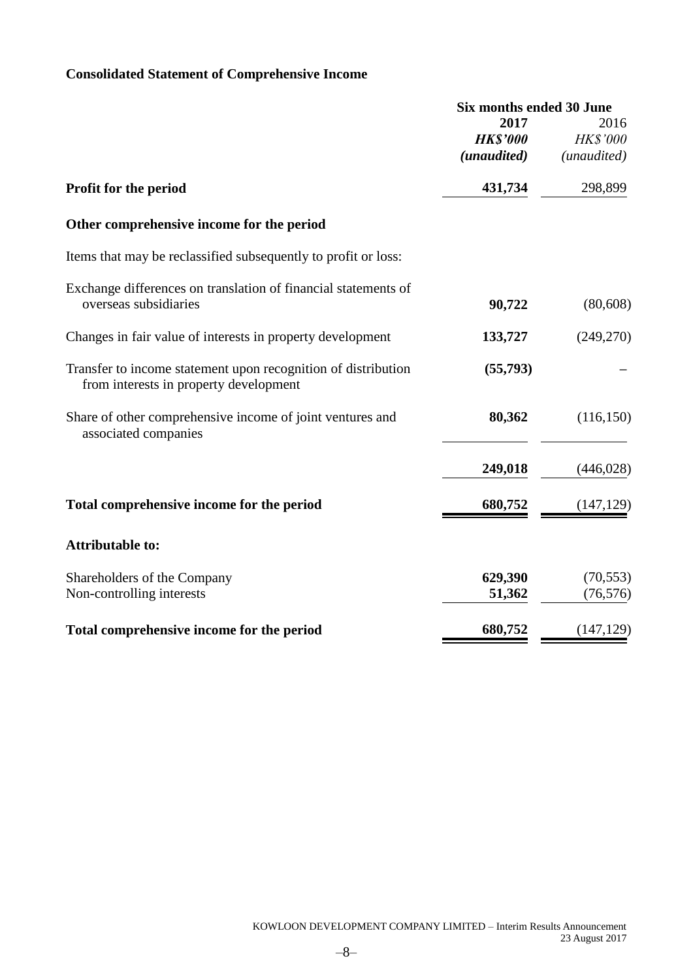## **Consolidated Statement of Comprehensive Income**

|                                                                                                         | <b>Six months ended 30 June</b> |                 |
|---------------------------------------------------------------------------------------------------------|---------------------------------|-----------------|
|                                                                                                         | 2017                            | 2016            |
|                                                                                                         | <b>HK\$'000</b>                 | <b>HK\$'000</b> |
|                                                                                                         | (unaudited)                     | (unaudited)     |
| Profit for the period                                                                                   | 431,734                         | 298,899         |
| Other comprehensive income for the period                                                               |                                 |                 |
| Items that may be reclassified subsequently to profit or loss:                                          |                                 |                 |
| Exchange differences on translation of financial statements of                                          |                                 |                 |
| overseas subsidiaries                                                                                   | 90,722                          | (80, 608)       |
| Changes in fair value of interests in property development                                              | 133,727                         | (249,270)       |
| Transfer to income statement upon recognition of distribution<br>from interests in property development | (55,793)                        |                 |
| Share of other comprehensive income of joint ventures and<br>associated companies                       | 80,362                          | (116, 150)      |
|                                                                                                         | 249,018                         | (446, 028)      |
| Total comprehensive income for the period                                                               | 680,752                         | (147, 129)      |
| <b>Attributable to:</b>                                                                                 |                                 |                 |
| Shareholders of the Company                                                                             | 629,390                         | (70, 553)       |
| Non-controlling interests                                                                               | 51,362                          | (76, 576)       |
| Total comprehensive income for the period                                                               | 680,752                         | (147, 129)      |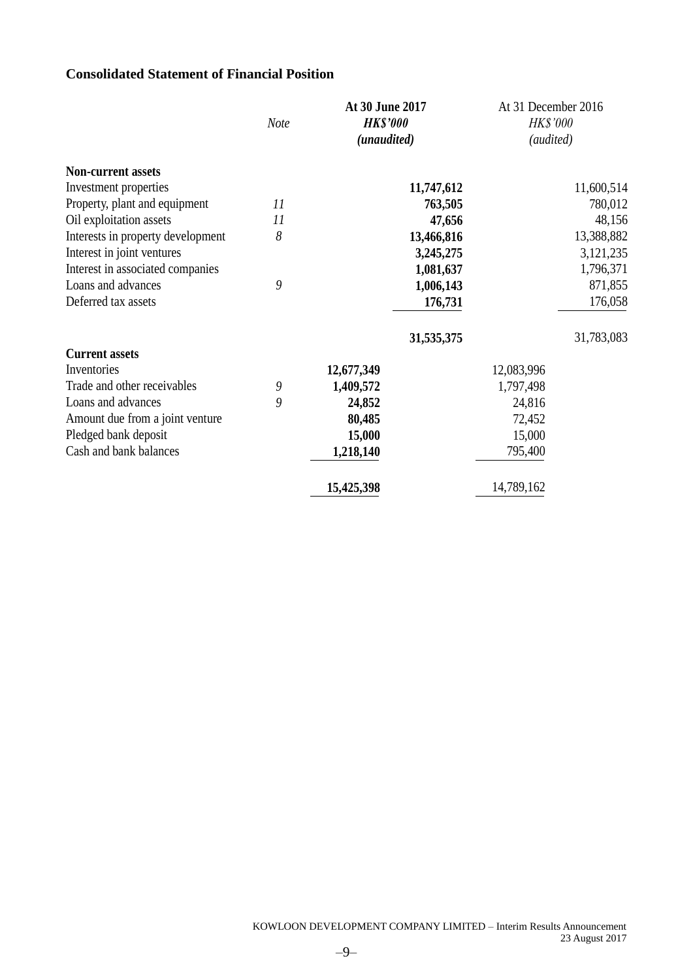### **Consolidated Statement of Financial Position**

|                                   |      | At 30 June 2017 | At 31 December 2016 |
|-----------------------------------|------|-----------------|---------------------|
|                                   | Note | <b>HK\$'000</b> | HK\$'000            |
|                                   |      | (unaudited)     | (audited)           |
| <b>Non-current assets</b>         |      |                 |                     |
| Investment properties             |      | 11,747,612      | 11,600,514          |
| Property, plant and equipment     | 11   | 763,505         | 780,012             |
| Oil exploitation assets           | 11   | 47,656          | 48,156              |
| Interests in property development | 8    | 13,466,816      | 13,388,882          |
| Interest in joint ventures        |      | 3,245,275       | 3,121,235           |
| Interest in associated companies  |      | 1,081,637       | 1,796,371           |
| Loans and advances                | 9    | 1,006,143       | 871,855             |
| Deferred tax assets               |      | 176,731         | 176,058             |
|                                   |      | 31,535,375      | 31,783,083          |
| <b>Current assets</b>             |      |                 |                     |
| Inventories                       |      | 12,677,349      | 12,083,996          |
| Trade and other receivables       | 9    | 1,409,572       | 1,797,498           |
| Loans and advances                | 9    | 24,852          | 24,816              |
| Amount due from a joint venture   |      | 80,485          | 72,452              |
| Pledged bank deposit              |      | 15,000          | 15,000              |
| Cash and bank balances            |      | 1,218,140       | 795,400             |
|                                   |      | 15,425,398      | 14,789,162          |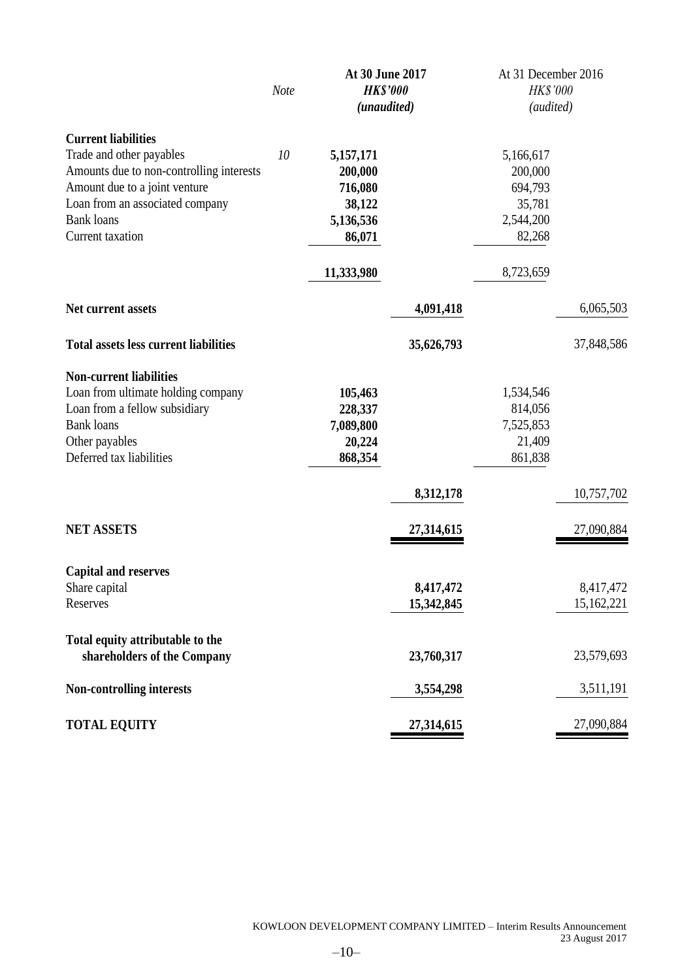|                                                                                                                                                                                                                 | Note | At 30 June 2017<br><b>HK\$'000</b><br>(unaudited)                              |                         | At 31 December 2016<br><b>HK\$'000</b><br>(audited)                           |                         |  |
|-----------------------------------------------------------------------------------------------------------------------------------------------------------------------------------------------------------------|------|--------------------------------------------------------------------------------|-------------------------|-------------------------------------------------------------------------------|-------------------------|--|
| <b>Current liabilities</b><br>Trade and other payables<br>Amounts due to non-controlling interests<br>Amount due to a joint venture<br>Loan from an associated company<br><b>Bank</b> loans<br>Current taxation | 10   | 5,157,171<br>200,000<br>716,080<br>38,122<br>5,136,536<br>86,071<br>11,333,980 |                         | 5,166,617<br>200,000<br>694,793<br>35,781<br>2,544,200<br>82,268<br>8,723,659 |                         |  |
| Net current assets                                                                                                                                                                                              |      |                                                                                | 4,091,418               |                                                                               | 6,065,503               |  |
| <b>Total assets less current liabilities</b>                                                                                                                                                                    |      |                                                                                | 35,626,793              |                                                                               | 37,848,586              |  |
| <b>Non-current liabilities</b><br>Loan from ultimate holding company<br>Loan from a fellow subsidiary<br><b>Bank</b> loans<br>Other payables<br>Deferred tax liabilities                                        |      | 105,463<br>228,337<br>7,089,800<br>20,224<br>868,354                           |                         | 1,534,546<br>814,056<br>7,525,853<br>21,409<br>861,838                        |                         |  |
|                                                                                                                                                                                                                 |      |                                                                                | 8,312,178               |                                                                               | 10,757,702              |  |
| <b>NET ASSETS</b>                                                                                                                                                                                               |      |                                                                                | 27,314,615              |                                                                               | 27,090,884              |  |
| <b>Capital and reserves</b><br>Share capital<br>Reserves                                                                                                                                                        |      |                                                                                | 8,417,472<br>15,342,845 |                                                                               | 8,417,472<br>15,162,221 |  |
| Total equity attributable to the<br>shareholders of the Company                                                                                                                                                 |      |                                                                                | 23,760,317              |                                                                               | 23,579,693              |  |
| Non-controlling interests                                                                                                                                                                                       |      |                                                                                | 3,554,298               |                                                                               | 3,511,191               |  |
| <b>TOTAL EQUITY</b>                                                                                                                                                                                             |      |                                                                                | 27,314,615              |                                                                               | 27,090,884              |  |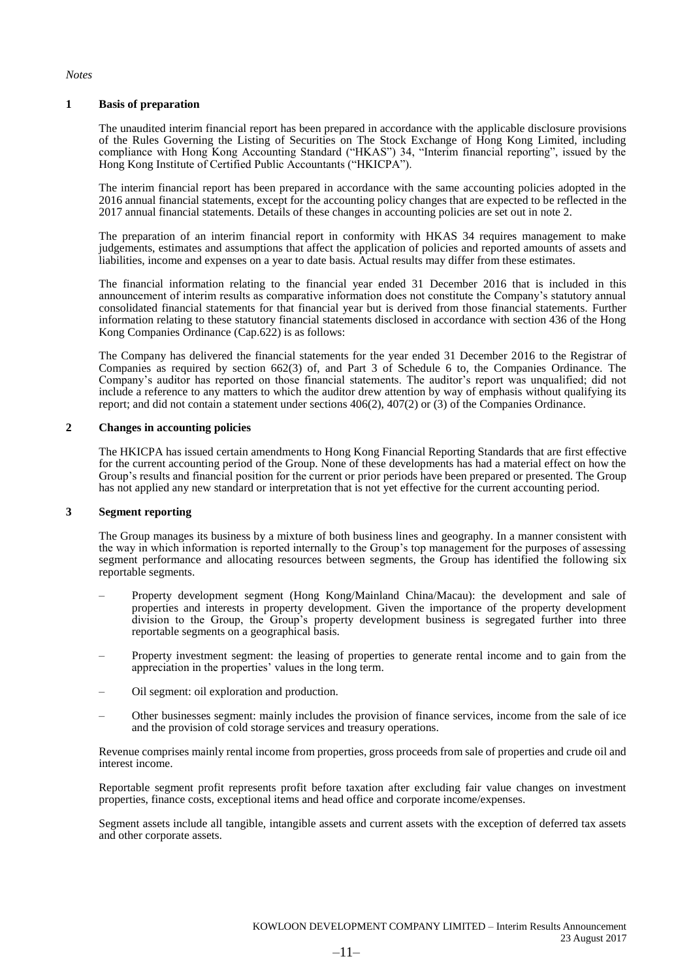*Notes*

#### **1 Basis of preparation**

The unaudited interim financial report has been prepared in accordance with the applicable disclosure provisions of the Rules Governing the Listing of Securities on The Stock Exchange of Hong Kong Limited, including compliance with Hong Kong Accounting Standard ("HKAS") 34, "Interim financial reporting", issued by the Hong Kong Institute of Certified Public Accountants ("HKICPA").

The interim financial report has been prepared in accordance with the same accounting policies adopted in the 2016 annual financial statements, except for the accounting policy changes that are expected to be reflected in the 2017 annual financial statements. Details of these changes in accounting policies are set out in note 2.

The preparation of an interim financial report in conformity with HKAS 34 requires management to make judgements, estimates and assumptions that affect the application of policies and reported amounts of assets and liabilities, income and expenses on a year to date basis. Actual results may differ from these estimates.

The financial information relating to the financial year ended 31 December 2016 that is included in this announcement of interim results as comparative information does not constitute the Company's statutory annual consolidated financial statements for that financial year but is derived from those financial statements. Further information relating to these statutory financial statements disclosed in accordance with section 436 of the Hong Kong Companies Ordinance (Cap.622) is as follows:

The Company has delivered the financial statements for the year ended 31 December 2016 to the Registrar of Companies as required by section 662(3) of, and Part 3 of Schedule 6 to, the Companies Ordinance. The Company's auditor has reported on those financial statements. The auditor's report was unqualified; did not include a reference to any matters to which the auditor drew attention by way of emphasis without qualifying its report; and did not contain a statement under sections 406(2), 407(2) or (3) of the Companies Ordinance.

#### **2 Changes in accounting policies**

The HKICPA has issued certain amendments to Hong Kong Financial Reporting Standards that are first effective for the current accounting period of the Group. None of these developments has had a material effect on how the Group's results and financial position for the current or prior periods have been prepared or presented. The Group has not applied any new standard or interpretation that is not yet effective for the current accounting period.

#### **3 Segment reporting**

The Group manages its business by a mixture of both business lines and geography. In a manner consistent with the way in which information is reported internally to the Group's top management for the purposes of assessing segment performance and allocating resources between segments, the Group has identified the following six reportable segments.

- Property development segment (Hong Kong/Mainland China/Macau): the development and sale of properties and interests in property development. Given the importance of the property development division to the Group, the Group's property development business is segregated further into three reportable segments on a geographical basis.
- Property investment segment: the leasing of properties to generate rental income and to gain from the appreciation in the properties' values in the long term.
- Oil segment: oil exploration and production.
- Other businesses segment: mainly includes the provision of finance services, income from the sale of ice and the provision of cold storage services and treasury operations.

Revenue comprises mainly rental income from properties, gross proceeds from sale of properties and crude oil and interest income.

Reportable segment profit represents profit before taxation after excluding fair value changes on investment properties, finance costs, exceptional items and head office and corporate income/expenses.

Segment assets include all tangible, intangible assets and current assets with the exception of deferred tax assets and other corporate assets.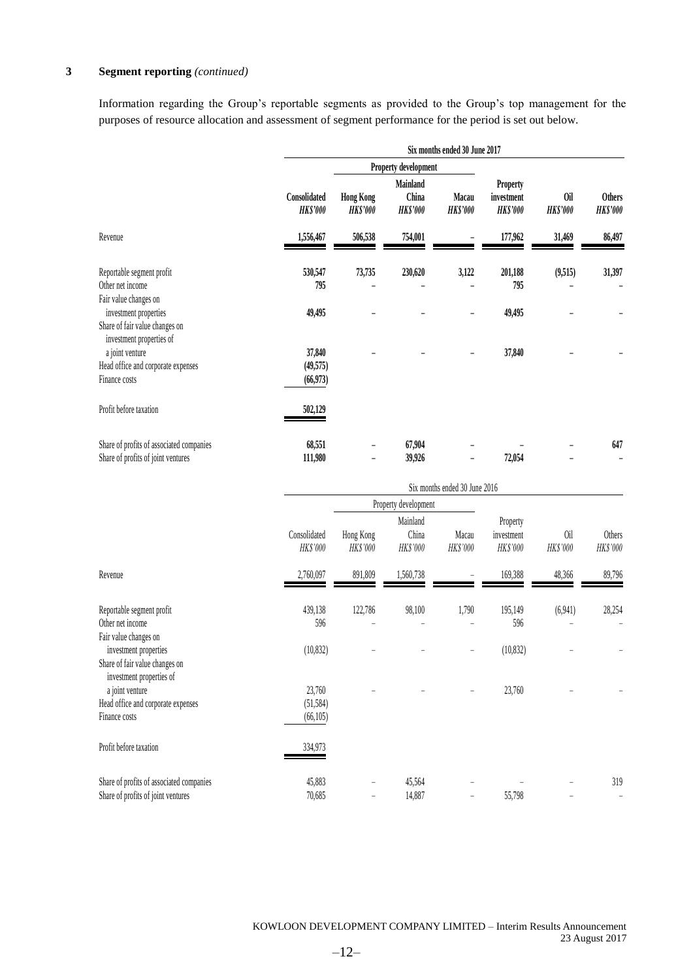### **3 Segment reporting** *(continued)*

Information regarding the Group's reportable segments as provided to the Group's top management for the purposes of resource allocation and assessment of segment performance for the period is set out below.

|                                                                                     |                                 |                                     | Six months ended 30 June 2017        |                          |                                                  |                        |                                  |
|-------------------------------------------------------------------------------------|---------------------------------|-------------------------------------|--------------------------------------|--------------------------|--------------------------------------------------|------------------------|----------------------------------|
|                                                                                     |                                 | Property development                |                                      |                          |                                                  |                        |                                  |
|                                                                                     | Consolidated<br><b>HK\$'000</b> | <b>Hong Kong</b><br><b>HK\$'000</b> | Mainland<br>China<br><b>HK\$'000</b> | Macau<br><b>HK\$'000</b> | <b>Property</b><br>investment<br><b>HK\$'000</b> | 0il<br><b>HK\$'000</b> | <b>Others</b><br><b>HK\$'000</b> |
| Revenue                                                                             | 1,556,467                       | 506,538                             | 754,001                              |                          | 177,962                                          | 31,469                 | 86,497                           |
| Reportable segment profit<br>Other net income<br>Fair value changes on              | 530,547<br>795                  | 73,735                              | 230,620                              | 3,122                    | 201,188<br>795                                   | (9,515)                | 31,397                           |
| investment properties<br>Share of fair value changes on<br>investment properties of | 49,495                          |                                     |                                      |                          | 49,495                                           |                        |                                  |
| a joint venture<br>Head office and corporate expenses<br>Finance costs              | 37,840<br>(49,575)<br>(66,973)  |                                     |                                      |                          | 37,840                                           |                        |                                  |
| Profit before taxation                                                              | 502,129                         |                                     |                                      |                          |                                                  |                        |                                  |
| Share of profits of associated companies<br>Share of profits of joint ventures      | 68,551<br>111,980               |                                     | 67,904<br>39,926                     | -                        | 72,054                                           |                        | 647                              |

|                                                                                                              |                                  | Six months ended 30 June 2016 |                               |                   |                                    |                 |                                 |  |  |
|--------------------------------------------------------------------------------------------------------------|----------------------------------|-------------------------------|-------------------------------|-------------------|------------------------------------|-----------------|---------------------------------|--|--|
|                                                                                                              |                                  |                               | Property development          |                   |                                    |                 |                                 |  |  |
|                                                                                                              | Consolidated<br>HK\$'000         | Hong Kong<br>HK\$'000         | Mainland<br>China<br>HK\$'000 | Macau<br>HK\$'000 | Property<br>investment<br>HK\$'000 | 0il<br>HK\$'000 | Others<br>HK\$'000              |  |  |
| Revenue                                                                                                      | 2,760,097                        | 891,809                       | 1,560,738                     |                   | 169,388                            | 48,366          | 89,796                          |  |  |
| Reportable segment profit<br>Other net income                                                                | 439,138<br>596                   | 122,786                       | 98,100                        | 1,790             | 195,149<br>596                     | (6,941)         | 28,254                          |  |  |
| Fair value changes on<br>investment properties<br>Share of fair value changes on<br>investment properties of | (10, 832)                        |                               |                               |                   | (10, 832)                          |                 |                                 |  |  |
| a joint venture<br>Head office and corporate expenses<br>Finance costs                                       | 23,760<br>(51, 584)<br>(66, 105) |                               |                               |                   | 23,760                             |                 |                                 |  |  |
| Profit before taxation                                                                                       | 334,973                          |                               |                               |                   |                                    |                 |                                 |  |  |
| Share of profits of associated companies<br>Share of profits of joint ventures                               | 45,883<br>70,685                 | $\overline{\phantom{0}}$      | 45,564<br>14,887              | -                 | 55,798                             |                 | 319<br>$\overline{\phantom{0}}$ |  |  |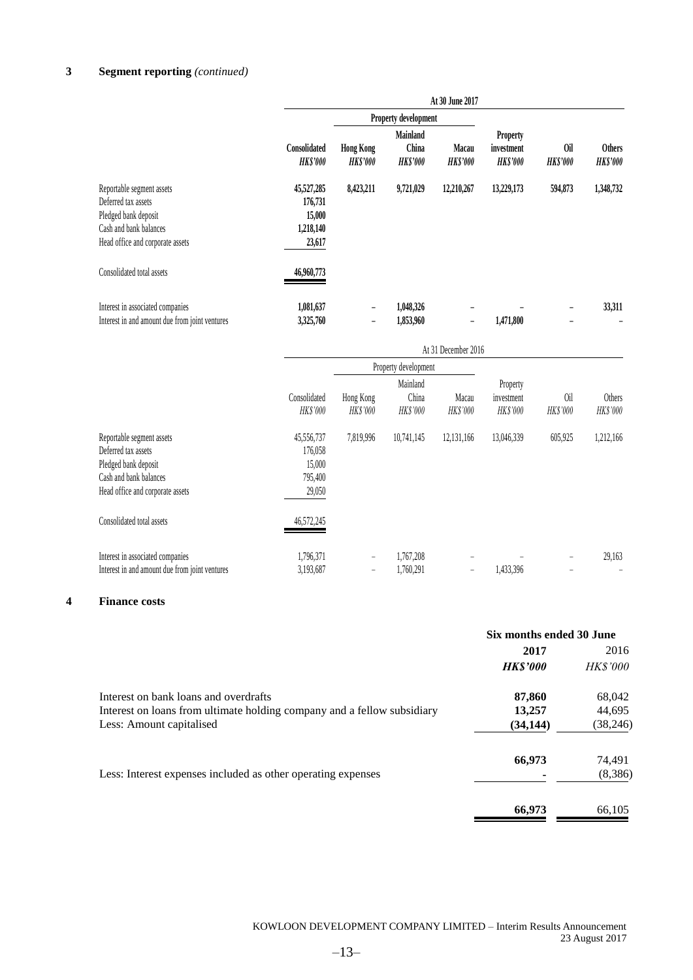## **3 Segment reporting** *(continued)*

|                                                                                                                                        | At 30 June 2017                                        |                             |                                      |                                 |                                          |                       |                                  |
|----------------------------------------------------------------------------------------------------------------------------------------|--------------------------------------------------------|-----------------------------|--------------------------------------|---------------------------------|------------------------------------------|-----------------------|----------------------------------|
|                                                                                                                                        |                                                        |                             | Property development                 |                                 |                                          |                       |                                  |
|                                                                                                                                        | Consolidated<br><b>HKS'000</b>                         | <b>Hong Kong</b><br>HKS'000 | Mainland<br>China<br><b>HK\$'000</b> | <b>Macau</b><br><b>HK\$'000</b> | <b>Property</b><br>investment<br>HKS'000 | 0il<br><b>HKS'000</b> | <b>Others</b><br><b>HK\$'000</b> |
| Reportable segment assets<br>Deferred tax assets<br>Pledged bank deposit<br>Cash and bank balances<br>Head office and corporate assets | 45,527,285<br>176,731<br>15,000<br>1,218,140<br>23,617 | 8,423,211                   | 9,721,029                            | 12,210,267                      | 13,229,173                               | 594,873               | 1,348,732                        |
| Consolidated total assets                                                                                                              | 46,960,773                                             |                             |                                      |                                 |                                          |                       |                                  |
| Interest in associated companies<br>Interest in and amount due from joint ventures                                                     | 1,081,637<br>3,325,760                                 |                             | 1,048,326<br>1,853,960               |                                 | 1,471,800                                |                       | 33,311                           |

|                                                                                                                                        | At 31 December 2016                                  |                       |                               |                   |                                    |                        |                    |
|----------------------------------------------------------------------------------------------------------------------------------------|------------------------------------------------------|-----------------------|-------------------------------|-------------------|------------------------------------|------------------------|--------------------|
|                                                                                                                                        |                                                      |                       | Property development          |                   |                                    |                        |                    |
|                                                                                                                                        | Consolidated<br>HK\$'000                             | Hong Kong<br>HK\$'000 | Mainland<br>China<br>HK\$'000 | Macau<br>HK\$'000 | Property<br>investment<br>HK\$'000 | 0il<br><b>HK\$'000</b> | Others<br>HK\$'000 |
| Reportable segment assets<br>Deferred tax assets<br>Pledged bank deposit<br>Cash and bank balances<br>Head office and corporate assets | 45,556,737<br>176,058<br>15,000<br>795,400<br>29,050 | 7,819,996             | 10,741,145                    | 12,131,166        | 13,046,339                         | 605,925                | 1,212,166          |
| Consolidated total assets                                                                                                              | 46,572,245                                           |                       |                               |                   |                                    |                        |                    |
| Interest in associated companies<br>Interest in and amount due from joint ventures                                                     | 1,796,371<br>3,193,687                               | $\qquad \qquad -$     | 1,767,208<br>1,760,291        |                   | 1,433,396                          |                        | 29,163             |

#### **4 Finance costs**

|                                                                         | Six months ended 30 June |                 |
|-------------------------------------------------------------------------|--------------------------|-----------------|
|                                                                         | 2017                     | 2016            |
|                                                                         | <b>HKS'000</b>           | <b>HK\$'000</b> |
| Interest on bank loans and overdrafts                                   | 87,860                   | 68,042          |
| Interest on loans from ultimate holding company and a fellow subsidiary | 13,257                   | 44,695          |
| Less: Amount capitalised                                                | (34, 144)                | (38, 246)       |
|                                                                         | 66,973                   | 74,491          |
| Less: Interest expenses included as other operating expenses            |                          | (8,386)         |
|                                                                         | 66,973                   | 66,105          |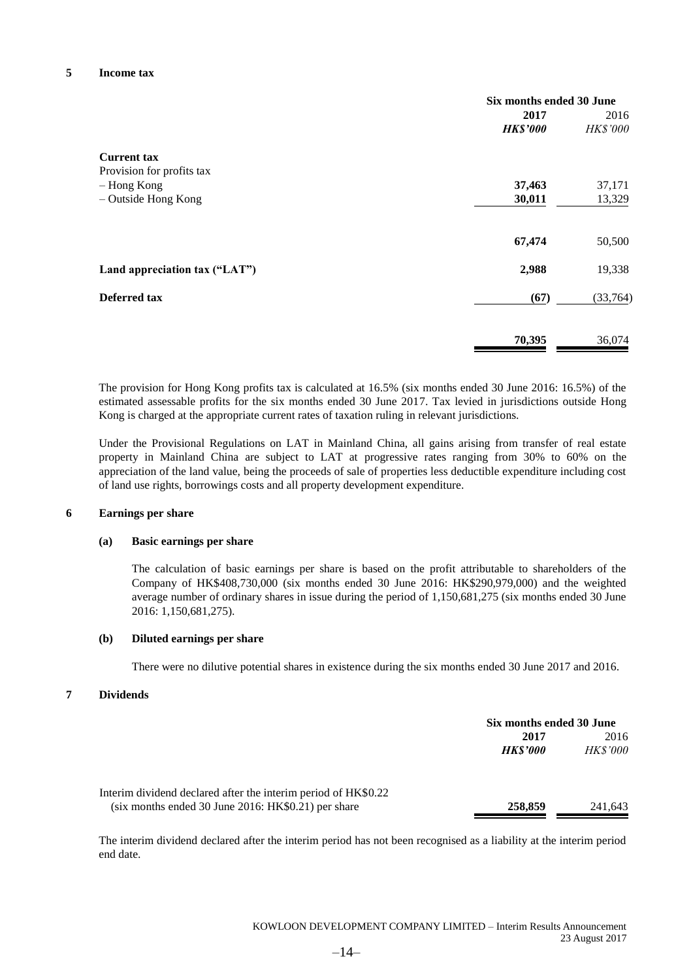#### **5 Income tax**

|                               | Six months ended 30 June |          |
|-------------------------------|--------------------------|----------|
|                               | 2017                     | 2016     |
|                               | <b>HK\$'000</b>          | HK\$'000 |
| <b>Current tax</b>            |                          |          |
| Provision for profits tax     |                          |          |
| - Hong Kong                   | 37,463                   | 37,171   |
| - Outside Hong Kong           | 30,011                   | 13,329   |
|                               | 67,474                   | 50,500   |
| Land appreciation tax ("LAT") | 2,988                    | 19,338   |
| Deferred tax                  | (67)                     | (33,764) |
|                               | 70,395                   | 36,074   |

The provision for Hong Kong profits tax is calculated at 16.5% (six months ended 30 June 2016: 16.5%) of the estimated assessable profits for the six months ended 30 June 2017. Tax levied in jurisdictions outside Hong Kong is charged at the appropriate current rates of taxation ruling in relevant jurisdictions.

Under the Provisional Regulations on LAT in Mainland China, all gains arising from transfer of real estate property in Mainland China are subject to LAT at progressive rates ranging from 30% to 60% on the appreciation of the land value, being the proceeds of sale of properties less deductible expenditure including cost of land use rights, borrowings costs and all property development expenditure.

#### **6 Earnings per share**

#### **(a) Basic earnings per share**

The calculation of basic earnings per share is based on the profit attributable to shareholders of the Company of HK\$408,730,000 (six months ended 30 June 2016: HK\$290,979,000) and the weighted average number of ordinary shares in issue during the period of 1,150,681,275 (six months ended 30 June 2016: 1,150,681,275).

#### **(b) Diluted earnings per share**

There were no dilutive potential shares in existence during the six months ended 30 June 2017 and 2016.

#### **7 Dividends**

|                                                                |                       | Six months ended 30 June |  |
|----------------------------------------------------------------|-----------------------|--------------------------|--|
|                                                                | 2017                  | 2016                     |  |
|                                                                | <i><b>HKS'000</b></i> | <b>HK\$'000</b>          |  |
| Interim dividend declared after the interim period of HK\$0.22 |                       |                          |  |
| $(six$ months ended 30 June 2016: HK\$0.21) per share          | 258,859               | 241,643                  |  |

The interim dividend declared after the interim period has not been recognised as a liability at the interim period end date.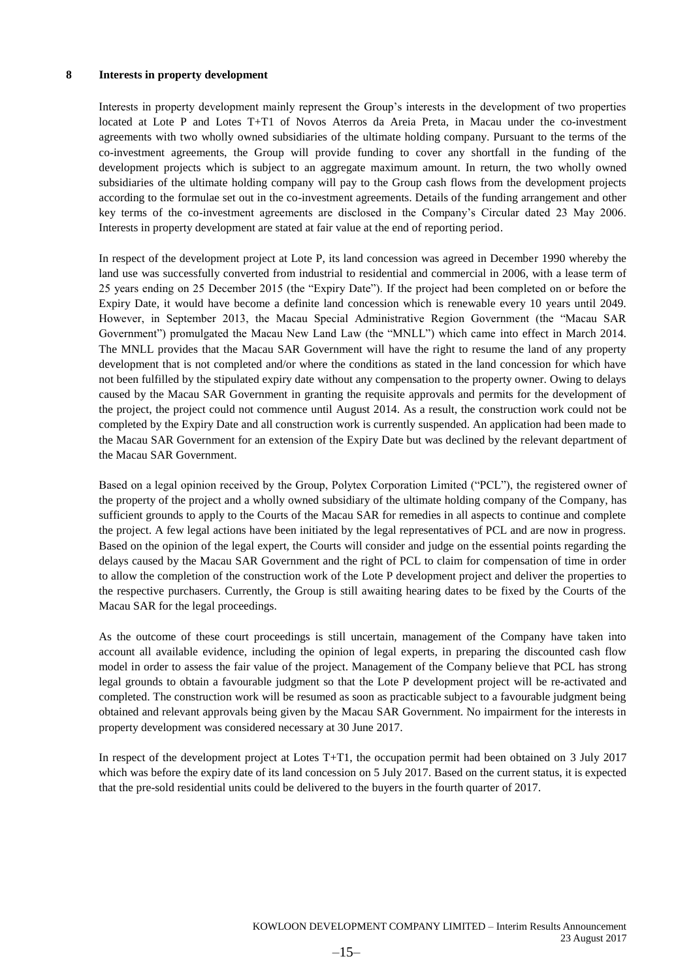#### **8 Interests in property development**

Interests in property development mainly represent the Group's interests in the development of two properties located at Lote P and Lotes T+T1 of Novos Aterros da Areia Preta, in Macau under the co-investment agreements with two wholly owned subsidiaries of the ultimate holding company. Pursuant to the terms of the co-investment agreements, the Group will provide funding to cover any shortfall in the funding of the development projects which is subject to an aggregate maximum amount. In return, the two wholly owned subsidiaries of the ultimate holding company will pay to the Group cash flows from the development projects according to the formulae set out in the co-investment agreements. Details of the funding arrangement and other key terms of the co-investment agreements are disclosed in the Company's Circular dated 23 May 2006. Interests in property development are stated at fair value at the end of reporting period.

In respect of the development project at Lote P, its land concession was agreed in December 1990 whereby the land use was successfully converted from industrial to residential and commercial in 2006, with a lease term of 25 years ending on 25 December 2015 (the "Expiry Date"). If the project had been completed on or before the Expiry Date, it would have become a definite land concession which is renewable every 10 years until 2049. However, in September 2013, the Macau Special Administrative Region Government (the "Macau SAR Government") promulgated the Macau New Land Law (the "MNLL") which came into effect in March 2014. The MNLL provides that the Macau SAR Government will have the right to resume the land of any property development that is not completed and/or where the conditions as stated in the land concession for which have not been fulfilled by the stipulated expiry date without any compensation to the property owner. Owing to delays caused by the Macau SAR Government in granting the requisite approvals and permits for the development of the project, the project could not commence until August 2014. As a result, the construction work could not be completed by the Expiry Date and all construction work is currently suspended. An application had been made to the Macau SAR Government for an extension of the Expiry Date but was declined by the relevant department of the Macau SAR Government.

Based on a legal opinion received by the Group, Polytex Corporation Limited ("PCL"), the registered owner of the property of the project and a wholly owned subsidiary of the ultimate holding company of the Company, has sufficient grounds to apply to the Courts of the Macau SAR for remedies in all aspects to continue and complete the project. A few legal actions have been initiated by the legal representatives of PCL and are now in progress. Based on the opinion of the legal expert, the Courts will consider and judge on the essential points regarding the delays caused by the Macau SAR Government and the right of PCL to claim for compensation of time in order to allow the completion of the construction work of the Lote P development project and deliver the properties to the respective purchasers. Currently, the Group is still awaiting hearing dates to be fixed by the Courts of the Macau SAR for the legal proceedings.

As the outcome of these court proceedings is still uncertain, management of the Company have taken into account all available evidence, including the opinion of legal experts, in preparing the discounted cash flow model in order to assess the fair value of the project. Management of the Company believe that PCL has strong legal grounds to obtain a favourable judgment so that the Lote P development project will be re-activated and completed. The construction work will be resumed as soon as practicable subject to a favourable judgment being obtained and relevant approvals being given by the Macau SAR Government. No impairment for the interests in property development was considered necessary at 30 June 2017.

In respect of the development project at Lotes T+T1, the occupation permit had been obtained on 3 July 2017 which was before the expiry date of its land concession on 5 July 2017. Based on the current status, it is expected that the pre-sold residential units could be delivered to the buyers in the fourth quarter of 2017.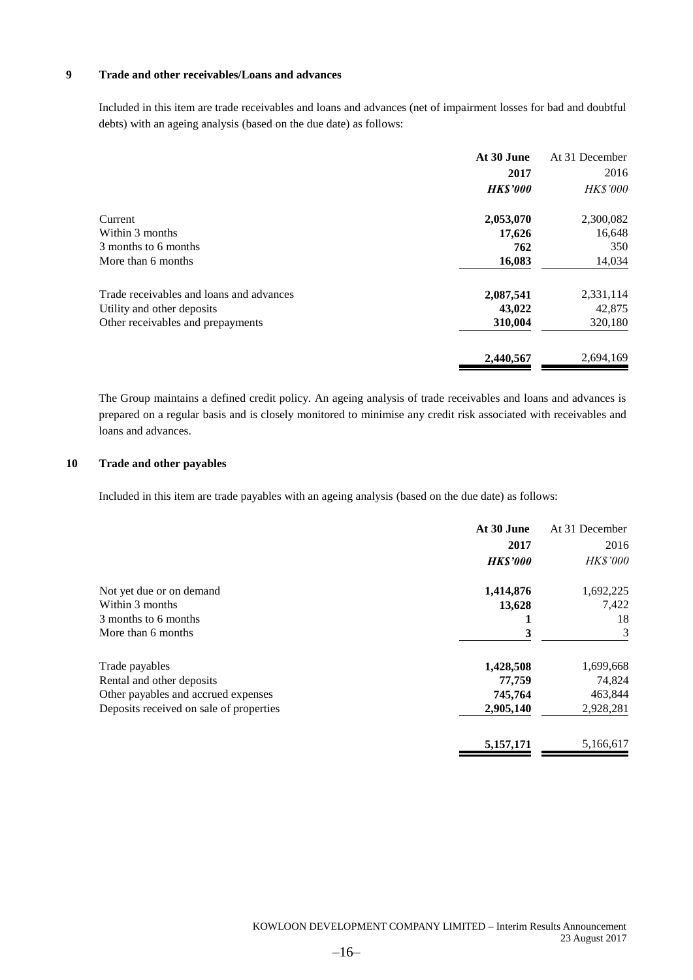#### **9 Trade and other receivables/Loans and advances**

Included in this item are trade receivables and loans and advances (net of impairment losses for bad and doubtful debts) with an ageing analysis (based on the due date) as follows:

|                                          | At 30 June      | At 31 December |
|------------------------------------------|-----------------|----------------|
|                                          | 2017            | 2016           |
|                                          | <b>HK\$'000</b> | HK\$'000       |
| Current                                  | 2,053,070       | 2,300,082      |
| Within 3 months                          | 17,626          | 16,648         |
| 3 months to 6 months                     | 762             | 350            |
| More than 6 months                       | 16,083          | 14,034         |
| Trade receivables and loans and advances | 2,087,541       | 2,331,114      |
| Utility and other deposits               | 43,022          | 42,875         |
| Other receivables and prepayments        | 310,004         | 320,180        |
|                                          | 2,440,567       | 2,694,169      |

The Group maintains a defined credit policy. An ageing analysis of trade receivables and loans and advances is prepared on a regular basis and is closely monitored to minimise any credit risk associated with receivables and loans and advances.

#### **10 Trade and other payables**

Included in this item are trade payables with an ageing analysis (based on the due date) as follows:

|                                         | At 30 June      | At 31 December |
|-----------------------------------------|-----------------|----------------|
|                                         | 2017            | 2016           |
|                                         | <b>HK\$'000</b> | HK\$'000       |
| Not yet due or on demand                | 1,414,876       | 1,692,225      |
| Within 3 months                         | 13,628          | 7,422          |
| 3 months to 6 months                    | 1               | 18             |
| More than 6 months                      | 3               | 3              |
| Trade payables                          | 1,428,508       | 1,699,668      |
| Rental and other deposits               | 77,759          | 74,824         |
| Other payables and accrued expenses     | 745,764         | 463,844        |
| Deposits received on sale of properties | 2,905,140       | 2,928,281      |
|                                         | 5,157,171       | 5,166,617      |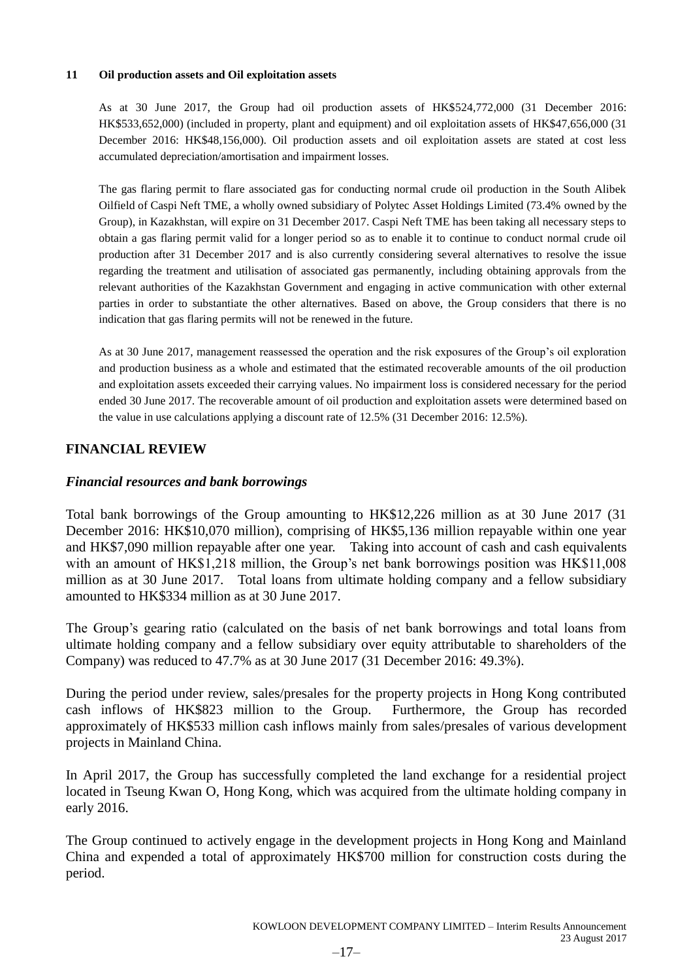#### **11 Oil production assets and Oil exploitation assets**

As at 30 June 2017, the Group had oil production assets of HK\$524,772,000 (31 December 2016: HK\$533,652,000) (included in property, plant and equipment) and oil exploitation assets of HK\$47,656,000 (31 December 2016: HK\$48,156,000). Oil production assets and oil exploitation assets are stated at cost less accumulated depreciation/amortisation and impairment losses.

The gas flaring permit to flare associated gas for conducting normal crude oil production in the South Alibek Oilfield of Caspi Neft TME, a wholly owned subsidiary of Polytec Asset Holdings Limited (73.4% owned by the Group), in Kazakhstan, will expire on 31 December 2017. Caspi Neft TME has been taking all necessary steps to obtain a gas flaring permit valid for a longer period so as to enable it to continue to conduct normal crude oil production after 31 December 2017 and is also currently considering several alternatives to resolve the issue regarding the treatment and utilisation of associated gas permanently, including obtaining approvals from the relevant authorities of the Kazakhstan Government and engaging in active communication with other external parties in order to substantiate the other alternatives. Based on above, the Group considers that there is no indication that gas flaring permits will not be renewed in the future.

As at 30 June 2017, management reassessed the operation and the risk exposures of the Group's oil exploration and production business as a whole and estimated that the estimated recoverable amounts of the oil production and exploitation assets exceeded their carrying values. No impairment loss is considered necessary for the period ended 30 June 2017. The recoverable amount of oil production and exploitation assets were determined based on the value in use calculations applying a discount rate of 12.5% (31 December 2016: 12.5%).

### **FINANCIAL REVIEW**

### *Financial resources and bank borrowings*

Total bank borrowings of the Group amounting to HK\$12,226 million as at 30 June 2017 (31 December 2016: HK\$10,070 million), comprising of HK\$5,136 million repayable within one year and HK\$7,090 million repayable after one year. Taking into account of cash and cash equivalents with an amount of HK\$1,218 million, the Group's net bank borrowings position was HK\$11,008 million as at 30 June 2017. Total loans from ultimate holding company and a fellow subsidiary amounted to HK\$334 million as at 30 June 2017.

The Group's gearing ratio (calculated on the basis of net bank borrowings and total loans from ultimate holding company and a fellow subsidiary over equity attributable to shareholders of the Company) was reduced to 47.7% as at 30 June 2017 (31 December 2016: 49.3%).

During the period under review, sales/presales for the property projects in Hong Kong contributed cash inflows of HK\$823 million to the Group. Furthermore, the Group has recorded approximately of HK\$533 million cash inflows mainly from sales/presales of various development projects in Mainland China.

In April 2017, the Group has successfully completed the land exchange for a residential project located in Tseung Kwan O, Hong Kong, which was acquired from the ultimate holding company in early 2016.

The Group continued to actively engage in the development projects in Hong Kong and Mainland China and expended a total of approximately HK\$700 million for construction costs during the period.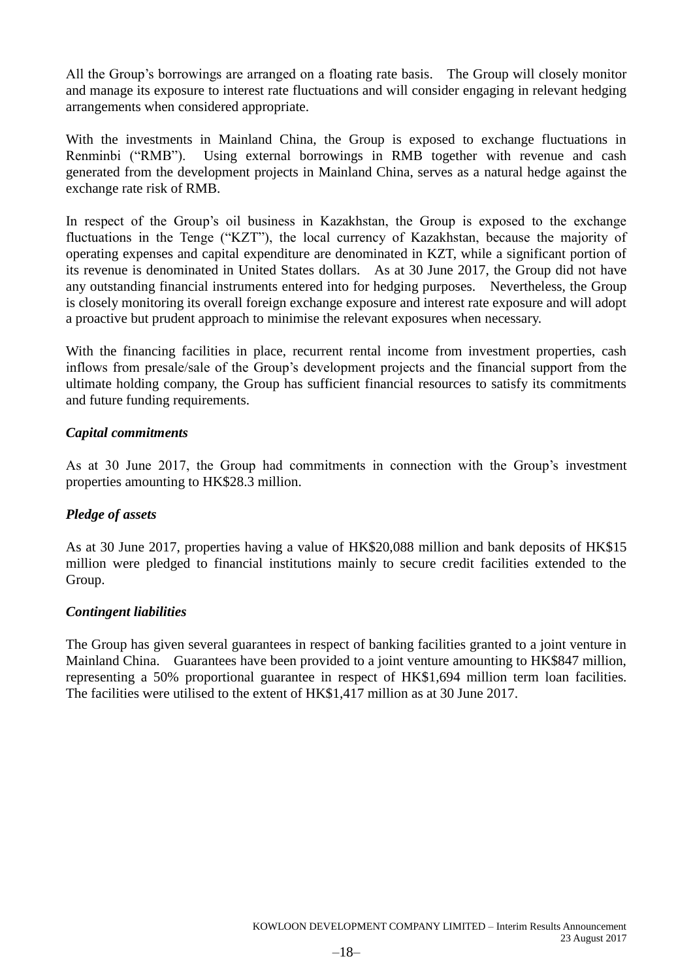All the Group's borrowings are arranged on a floating rate basis. The Group will closely monitor and manage its exposure to interest rate fluctuations and will consider engaging in relevant hedging arrangements when considered appropriate.

With the investments in Mainland China, the Group is exposed to exchange fluctuations in Renminbi ("RMB"). Using external borrowings in RMB together with revenue and cash generated from the development projects in Mainland China, serves as a natural hedge against the exchange rate risk of RMB.

In respect of the Group's oil business in Kazakhstan, the Group is exposed to the exchange fluctuations in the Tenge ("KZT"), the local currency of Kazakhstan, because the majority of operating expenses and capital expenditure are denominated in KZT, while a significant portion of its revenue is denominated in United States dollars. As at 30 June 2017, the Group did not have any outstanding financial instruments entered into for hedging purposes. Nevertheless, the Group is closely monitoring its overall foreign exchange exposure and interest rate exposure and will adopt a proactive but prudent approach to minimise the relevant exposures when necessary.

With the financing facilities in place, recurrent rental income from investment properties, cash inflows from presale/sale of the Group's development projects and the financial support from the ultimate holding company, the Group has sufficient financial resources to satisfy its commitments and future funding requirements.

### *Capital commitments*

As at 30 June 2017, the Group had commitments in connection with the Group's investment properties amounting to HK\$28.3 million.

### *Pledge of assets*

As at 30 June 2017, properties having a value of HK\$20,088 million and bank deposits of HK\$15 million were pledged to financial institutions mainly to secure credit facilities extended to the Group.

### *Contingent liabilities*

The Group has given several guarantees in respect of banking facilities granted to a joint venture in Mainland China. Guarantees have been provided to a joint venture amounting to HK\$847 million, representing a 50% proportional guarantee in respect of HK\$1,694 million term loan facilities. The facilities were utilised to the extent of HK\$1,417 million as at 30 June 2017.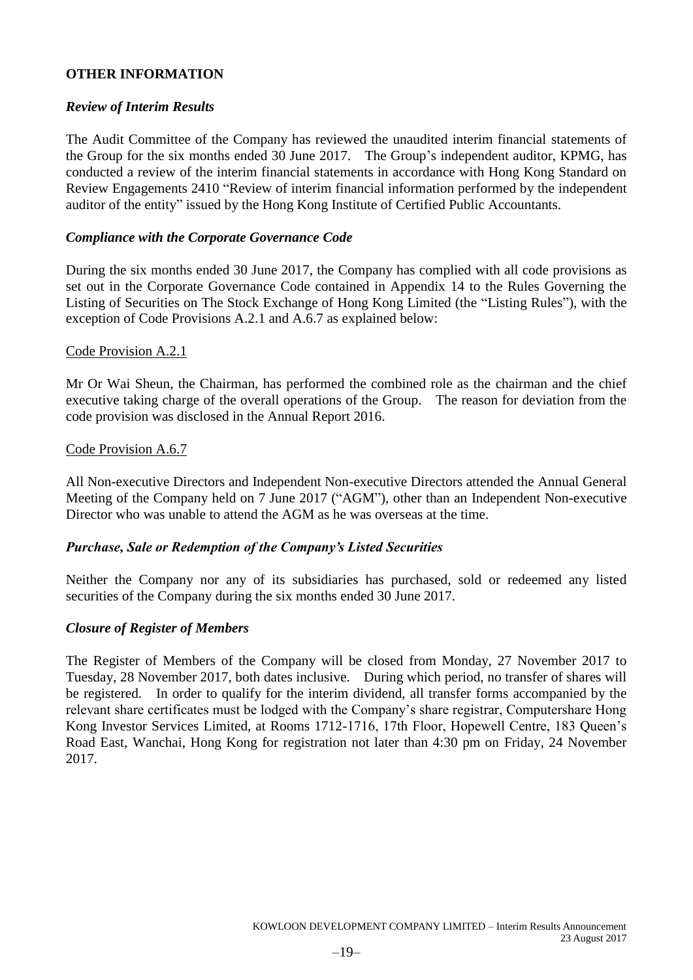### **OTHER INFORMATION**

### *Review of Interim Results*

The Audit Committee of the Company has reviewed the unaudited interim financial statements of the Group for the six months ended 30 June 2017. The Group's independent auditor, KPMG, has conducted a review of the interim financial statements in accordance with Hong Kong Standard on Review Engagements 2410 "Review of interim financial information performed by the independent auditor of the entity" issued by the Hong Kong Institute of Certified Public Accountants.

### *Compliance with the Corporate Governance Code*

During the six months ended 30 June 2017, the Company has complied with all code provisions as set out in the Corporate Governance Code contained in Appendix 14 to the Rules Governing the Listing of Securities on The Stock Exchange of Hong Kong Limited (the "Listing Rules"), with the exception of Code Provisions A.2.1 and A.6.7 as explained below:

### Code Provision A.2.1

Mr Or Wai Sheun, the Chairman, has performed the combined role as the chairman and the chief executive taking charge of the overall operations of the Group. The reason for deviation from the code provision was disclosed in the Annual Report 2016.

### Code Provision A.6.7

All Non-executive Directors and Independent Non-executive Directors attended the Annual General Meeting of the Company held on 7 June 2017 ("AGM"), other than an Independent Non-executive Director who was unable to attend the AGM as he was overseas at the time.

### *Purchase, Sale or Redemption of the Company's Listed Securities*

Neither the Company nor any of its subsidiaries has purchased, sold or redeemed any listed securities of the Company during the six months ended 30 June 2017.

### *Closure of Register of Members*

The Register of Members of the Company will be closed from Monday, 27 November 2017 to Tuesday, 28 November 2017, both dates inclusive. During which period, no transfer of shares will be registered. In order to qualify for the interim dividend, all transfer forms accompanied by the relevant share certificates must be lodged with the Company's share registrar, Computershare Hong Kong Investor Services Limited, at Rooms 1712-1716, 17th Floor, Hopewell Centre, 183 Queen's Road East, Wanchai, Hong Kong for registration not later than 4:30 pm on Friday, 24 November 2017.